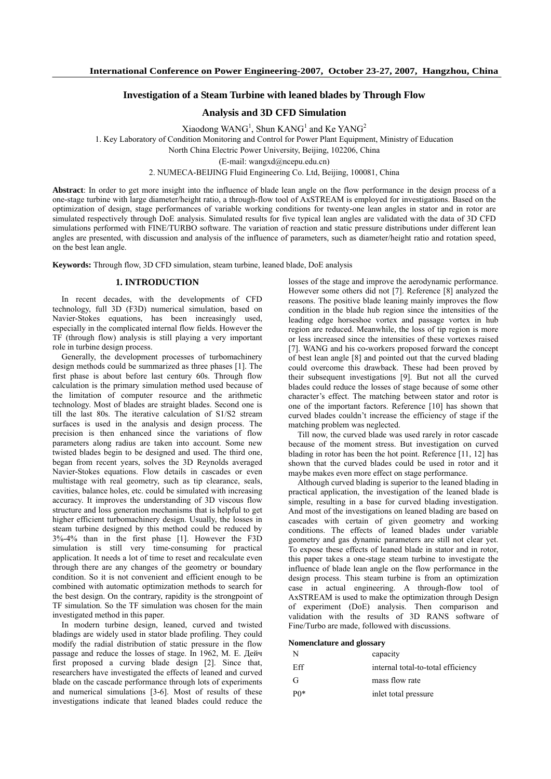# **Investigation of a Steam Turbine with leaned blades by Through Flow**

**Analysis and 3D CFD Simulation** 

Xiaodong WANG<sup>1</sup>, Shun KANG<sup>1</sup> and Ke YANG<sup>2</sup>

1. Key Laboratory of Condition Monitoring and Control for Power Plant Equipment, Ministry of Education

North China Electric Power University, Beijing, 102206, China

(E-mail: wangxd@ncepu.edu.cn)

2. NUMECA-BEIJING Fluid Engineering Co. Ltd, Beijing, 100081, China

**Abstract**: In order to get more insight into the influence of blade lean angle on the flow performance in the design process of a one-stage turbine with large diameter/height ratio, a through-flow tool of AxSTREAM is employed for investigations. Based on the optimization of design, stage performances of variable working conditions for twenty-one lean angles in stator and in rotor are simulated respectively through DoE analysis. Simulated results for five typical lean angles are validated with the data of 3D CFD simulations performed with FINE/TURBO software. The variation of reaction and static pressure distributions under different lean angles are presented, with discussion and analysis of the influence of parameters, such as diameter/height ratio and rotation speed, on the best lean angle.

**Keywords:** Through flow, 3D CFD simulation, steam turbine, leaned blade, DoE analysis

## **1. INTRODUCTION**

In recent decades, with the developments of CFD technology, full 3D (F3D) numerical simulation, based on Navier-Stokes equations, has been increasingly used, especially in the complicated internal flow fields. However the TF (through flow) analysis is still playing a very important role in turbine design process.

Generally, the development processes of turbomachinery design methods could be summarized as three phases [1]. The first phase is about before last century 60s. Through flow calculation is the primary simulation method used because of the limitation of computer resource and the arithmetic technology. Most of blades are straight blades. Second one is till the last 80s. The iterative calculation of S1/S2 stream surfaces is used in the analysis and design process. The precision is then enhanced since the variations of flow parameters along radius are taken into account. Some new twisted blades begin to be designed and used. The third one, began from recent years, solves the 3D Reynolds averaged Navier-Stokes equations. Flow details in cascades or even multistage with real geometry, such as tip clearance, seals, cavities, balance holes, etc. could be simulated with increasing accuracy. It improves the understanding of 3D viscous flow structure and loss generation mechanisms that is helpful to get higher efficient turbomachinery design. Usually, the losses in steam turbine designed by this method could be reduced by 3%-4% than in the first phase [1]. However the F3D simulation is still very time-consuming for practical application. It needs a lot of time to reset and recalculate even through there are any changes of the geometry or boundary condition. So it is not convenient and efficient enough to be combined with automatic optimization methods to search for the best design. On the contrary, rapidity is the strongpoint of TF simulation. So the TF simulation was chosen for the main investigated method in this paper.

In modern turbine design, leaned, curved and twisted bladings are widely used in stator blade profiling. They could modify the radial distribution of static pressure in the flow passage and reduce the losses of stage. In 1962, M. E. Дейч first proposed a curving blade design [2]. Since that, researchers have investigated the effects of leaned and curved blade on the cascade performance through lots of experiments and numerical simulations [3-6]. Most of results of these investigations indicate that leaned blades could reduce the losses of the stage and improve the aerodynamic performance. However some others did not [7]. Reference [8] analyzed the reasons. The positive blade leaning mainly improves the flow condition in the blade hub region since the intensities of the leading edge horseshoe vortex and passage vortex in hub region are reduced. Meanwhile, the loss of tip region is more or less increased since the intensities of these vortexes raised [7]. WANG and his co-workers proposed forward the concept of best lean angle [8] and pointed out that the curved blading could overcome this drawback. These had been proved by their subsequent investigations [9]. But not all the curved blades could reduce the losses of stage because of some other character's effect. The matching between stator and rotor is one of the important factors. Reference [10] has shown that curved blades couldn't increase the efficiency of stage if the matching problem was neglected.

Till now, the curved blade was used rarely in rotor cascade because of the moment stress. But investigation on curved blading in rotor has been the hot point. Reference [11, 12] has shown that the curved blades could be used in rotor and it maybe makes even more effect on stage performance.

Although curved blading is superior to the leaned blading in practical application, the investigation of the leaned blade is simple, resulting in a base for curved blading investigation. And most of the investigations on leaned blading are based on cascades with certain of given geometry and working conditions. The effects of leaned blades under variable geometry and gas dynamic parameters are still not clear yet. To expose these effects of leaned blade in stator and in rotor, this paper takes a one-stage steam turbine to investigate the influence of blade lean angle on the flow performance in the design process. This steam turbine is from an optimization case in actual engineering. A through-flow tool of AxSTREAM is used to make the optimization through Design of experiment (DoE) analysis. Then comparison and validation with the results of 3D RANS software of Fine/Turbo are made, followed with discussions.

#### **Nomenclature and glossary**

| N       | capacity                           |
|---------|------------------------------------|
| Eff     | internal total-to-total efficiency |
| G       | mass flow rate                     |
| $P()^*$ | inlet total pressure               |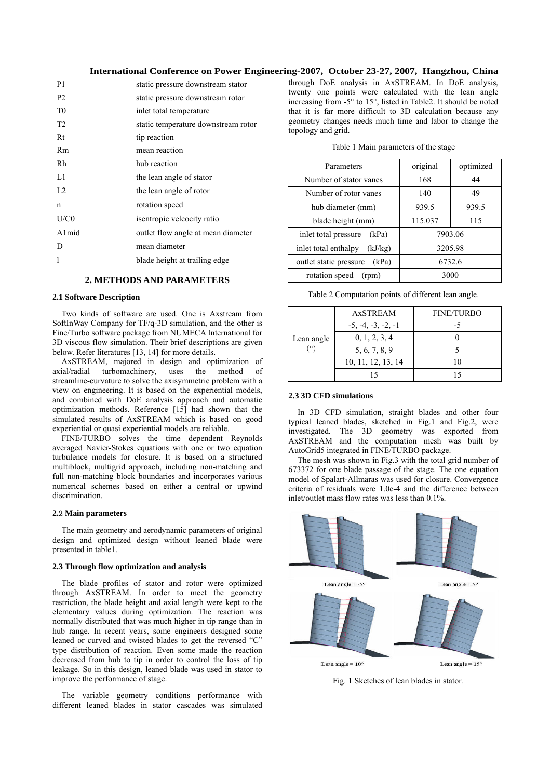| P1             | static pressure downstream stator   |  |
|----------------|-------------------------------------|--|
| P <sub>2</sub> | static pressure downstream rotor    |  |
| T <sub>0</sub> | inlet total temperature             |  |
| T <sub>2</sub> | static temperature downstream rotor |  |
| Rt             | tip reaction                        |  |
| Rm             | mean reaction                       |  |
| Rh             | hub reaction                        |  |
| L1             | the lean angle of stator            |  |
| L2             | the lean angle of rotor             |  |
| n              | rotation speed                      |  |
| U/C0           | isentropic velcocity ratio          |  |
| A1mid          | outlet flow angle at mean diameter  |  |
| D              | mean diameter                       |  |
|                | blade height at trailing edge       |  |

### **2. METHODS AND PARAMETERS**

### **2.1 Software Description**

Two kinds of software are used. One is Axstream from SoftInWay Company for TF/q-3D simulation, and the other is Fine/Turbo software package from NUMECA International for 3D viscous flow simulation. Their brief descriptions are given below. Refer literatures [13, 14] for more details.

AxSTREAM, majored in design and optimization of axial/radial turbomachinery, uses the method of streamline-curvature to solve the axisymmetric problem with a view on engineering. It is based on the experiential models, and combined with DoE analysis approach and automatic optimization methods. Reference [15] had shown that the simulated results of AxSTREAM which is based on good experiential or quasi experiential models are reliable.

FINE/TURBO solves the time dependent Reynolds averaged Navier-Stokes equations with one or two equation turbulence models for closure. It is based on a structured multiblock, multigrid approach, including non-matching and full non-matching block boundaries and incorporates various numerical schemes based on either a central or upwind discrimination.

#### **2.**2 **Main parameters**

The main geometry and aerodynamic parameters of original design and optimized design without leaned blade were presented in table1.

### **2.3 Through flow optimization and analysis**

The blade profiles of stator and rotor were optimized through AxSTREAM. In order to meet the geometry restriction, the blade height and axial length were kept to the elementary values during optimization. The reaction was normally distributed that was much higher in tip range than in hub range. In recent years, some engineers designed some leaned or curved and twisted blades to get the reversed "C" type distribution of reaction. Even some made the reaction decreased from hub to tip in order to control the loss of tip leakage. So in this design, leaned blade was used in stator to improve the performance of stage.

The variable geometry conditions performance with different leaned blades in stator cascades was simulated through DoE analysis in AxSTREAM. In DoE analysis, twenty one points were calculated with the lean angle increasing from -5° to 15°, listed in Table2. It should be noted that it is far more difficult to 3D calculation because any geometry changes needs much time and labor to change the topology and grid.

| Parameters                      | original | optimized |
|---------------------------------|----------|-----------|
| Number of stator vanes          | 168      | 44        |
| Number of rotor vanes           | 140      | 49        |
| hub diameter (mm)               | 939.5    | 939.5     |
| blade height (mm)               | 115.037  | 115       |
| inlet total pressure<br>(kPa)   | 7903.06  |           |
| (kJ/kg)<br>inlet total enthalpy | 3205.98  |           |
| (kPa)<br>outlet static pressure | 6732.6   |           |
| rotation speed<br>(rpm)         | 3000     |           |

Table 1 Main parameters of the stage

Table 2 Computation points of different lean angle.

| Lean angle<br>(٥ | <b>AxSTREAM</b>      | <b>FINE/TURBO</b> |  |
|------------------|----------------------|-------------------|--|
|                  | $-5, -4, -3, -2, -1$ |                   |  |
|                  | 0, 1, 2, 3, 4        |                   |  |
|                  | 5, 6, 7, 8, 9        |                   |  |
|                  | 10, 11, 12, 13, 14   |                   |  |
|                  | 15                   |                   |  |

## **2.3 3D CFD simulations**

In 3D CFD simulation, straight blades and other four typical leaned blades, sketched in Fig.1 and Fig.2, were investigated. The 3D geometry was exported from AxSTREAM and the computation mesh was built by AutoGrid5 integrated in FINE/TURBO package.

The mesh was shown in Fig.3 with the total grid number of 673372 for one blade passage of the stage. The one equation model of Spalart-Allmaras was used for closure. Convergence criteria of residuals were 1.0e-4 and the difference between inlet/outlet mass flow rates was less than 0.1%.



Fig. 1 Sketches of lean blades in stator.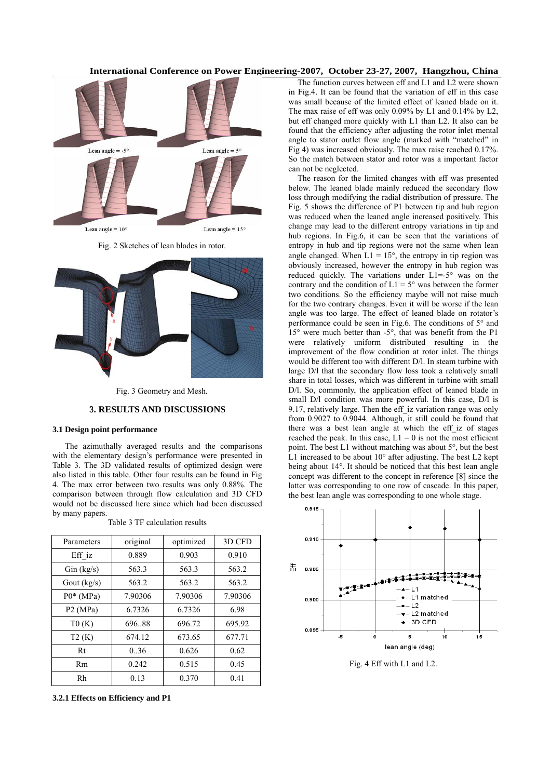

Fig. 2 Sketches of lean blades in rotor.



Fig. 3 Geometry and Mesh.

# 3**. RESULTS AND DISCUSSIONS**

## **3.1 Design point performance**

The azimuthally averaged results and the comparisons with the elementary design's performance were presented in Table 3. The 3D validated results of optimized design were also listed in this table. Other four results can be found in Fig 4. The max error between two results was only 0.88%. The comparison between through flow calculation and 3D CFD would not be discussed here since which had been discussed by many papers.

| Parameters     | original | optimized | 3D CFD  |
|----------------|----------|-----------|---------|
| Eff iz         | 0.889    | 0.903     | 0.910   |
| Gin (kg/s)     | 563.3    | 563.3     | 563.2   |
| Gout $(kg/s)$  | 563.2    | 563.2     | 563.2   |
| $P0*$ (MPa)    | 7.90306  | 7.90306   | 7.90306 |
| P2(MPa)        | 6.7326   | 6.7326    | 6.98    |
| T0(K)          | 696.88   | 696.72    | 695.92  |
| T2(K)          | 674.12   | 673.65    | 677.71  |
| Rt             | 0.36     | 0.626     | 0.62    |
| R <sub>m</sub> | 0.242    | 0.515     | 0.45    |
| Rh             | 0.13     | 0.370     | 0.41    |

Table 3 TF calculation results

**3.2.1 Effects on Efficiency and P1** 

The function curves between eff and L1 and L2 were shown in Fig.4. It can be found that the variation of eff in this case was small because of the limited effect of leaned blade on it. The max raise of eff was only 0.09% by L1 and 0.14% by L2, but eff changed more quickly with L1 than L2. It also can be found that the efficiency after adjusting the rotor inlet mental angle to stator outlet flow angle (marked with "matched" in Fig 4) was increased obviously. The max raise reached 0.17%. So the match between stator and rotor was a important factor can not be neglected.

The reason for the limited changes with eff was presented below. The leaned blade mainly reduced the secondary flow loss through modifying the radial distribution of pressure. The Fig. 5 shows the difference of P1 between tip and hub region was reduced when the leaned angle increased positively. This change may lead to the different entropy variations in tip and hub regions. In Fig.6, it can be seen that the variations of entropy in hub and tip regions were not the same when lean angle changed. When  $L1 = 15^{\circ}$ , the entropy in tip region was obviously increased, however the entropy in hub region was reduced quickly. The variations under  $L1=-5^\circ$  was on the contrary and the condition of  $L1 = 5^\circ$  was between the former two conditions. So the efficiency maybe will not raise much for the two contrary changes. Even it will be worse if the lean angle was too large. The effect of leaned blade on rotator's performance could be seen in Fig.6. The conditions of 5° and 15° were much better than -5°, that was benefit from the P1 were relatively uniform distributed resulting in the improvement of the flow condition at rotor inlet. The things would be different too with different D/l. In steam turbine with large D/l that the secondary flow loss took a relatively small share in total losses, which was different in turbine with small D/l. So, commonly, the application effect of leaned blade in small D/l condition was more powerful. In this case, D/l is 9.17, relatively large. Then the eff\_iz variation range was only from 0.9027 to 0.9044. Although, it still could be found that there was a best lean angle at which the eff iz of stages reached the peak. In this case,  $L1 = 0$  is not the most efficient point. The best L1 without matching was about 5°, but the best L1 increased to be about 10° after adjusting. The best L2 kept being about 14°. It should be noticed that this best lean angle concept was different to the concept in reference [8] since the latter was corresponding to one row of cascade. In this paper, the best lean angle was corresponding to one whole stage.



Fig. 4 Eff with L1 and L2.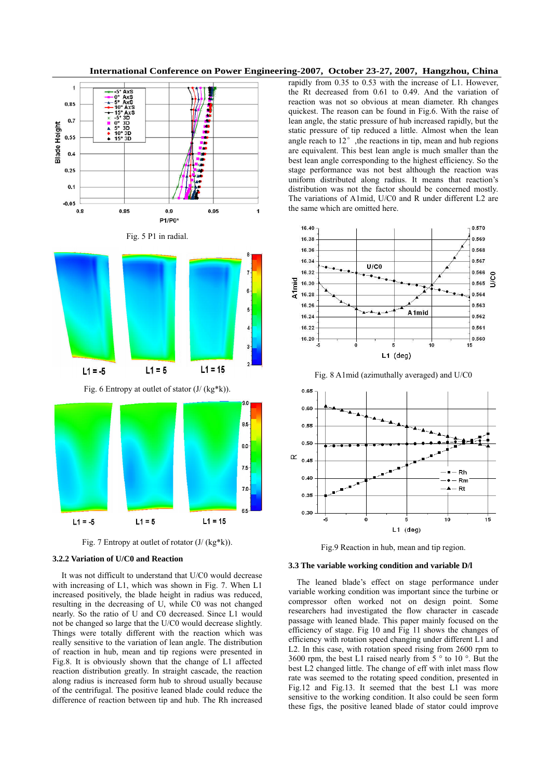



Fig. 7 Entropy at outlet of rotator  $(J/(kg*k))$ .

### **3.2.2 Variation of U/C0 and Reaction**

It was not difficult to understand that U/C0 would decrease with increasing of L1, which was shown in Fig. 7. When L1 increased positively, the blade height in radius was reduced, resulting in the decreasing of U, while C0 was not changed nearly. So the ratio of U and C0 decreased. Since L1 would not be changed so large that the U/C0 would decrease slightly. Things were totally different with the reaction which was really sensitive to the variation of lean angle. The distribution of reaction in hub, mean and tip regions were presented in Fig.8. It is obviously shown that the change of L1 affected reaction distribution greatly. In straight cascade, the reaction along radius is increased form hub to shroud usually because of the centrifugal. The positive leaned blade could reduce the difference of reaction between tip and hub. The Rh increased rapidly from 0.35 to 0.53 with the increase of L1. However, the Rt decreased from 0.61 to 0.49. And the variation of reaction was not so obvious at mean diameter. Rh changes quickest. The reason can be found in Fig.6. With the raise of lean angle, the static pressure of hub increased rapidly, but the static pressure of tip reduced a little. Almost when the lean angle reach to  $12^{\circ}$ , the reactions in tip, mean and hub regions are equivalent. This best lean angle is much smaller than the best lean angle corresponding to the highest efficiency. So the stage performance was not best although the reaction was uniform distributed along radius. It means that reaction's distribution was not the factor should be concerned mostly. The variations of A1mid, U/C0 and R under different L2 are the same which are omitted here.



Fig. 8 A1mid (azimuthally averaged) and U/C0



Fig.9 Reaction in hub, mean and tip region.

#### **3.3 The variable working condition and variable D/l**

The leaned blade's effect on stage performance under variable working condition was important since the turbine or compressor often worked not on design point. Some researchers had investigated the flow character in cascade passage with leaned blade. This paper mainly focused on the efficiency of stage. Fig 10 and Fig 11 shows the changes of efficiency with rotation speed changing under different L1 and L2. In this case, with rotation speed rising from 2600 rpm to 3600 rpm, the best L1 raised nearly from 5 ° to 10 °. But the best L2 changed little. The change of eff with inlet mass flow rate was seemed to the rotating speed condition, presented in Fig.12 and Fig.13. It seemed that the best L1 was more sensitive to the working condition. It also could be seen form these figs, the positive leaned blade of stator could improve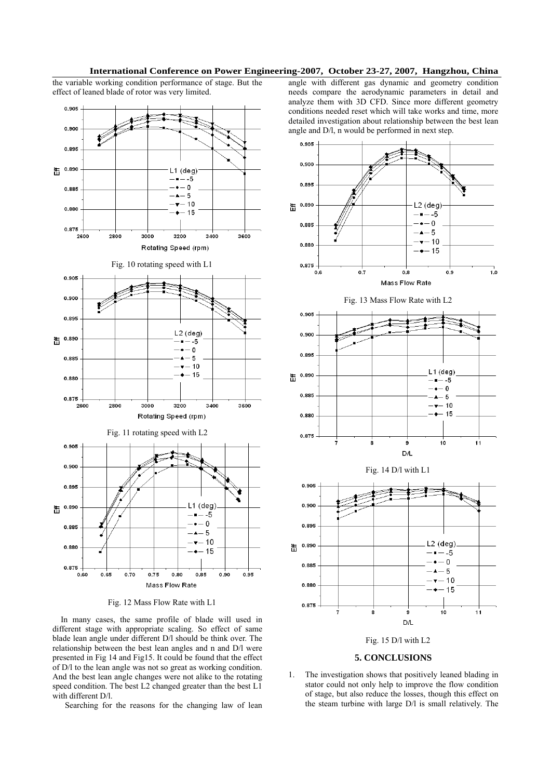the variable working condition performance of stage. But the effect of leaned blade of rotor was very limited.



Fig. 12 Mass Flow Rate with L1

In many cases, the same profile of blade will used in different stage with appropriate scaling. So effect of same blade lean angle under different D/l should be think over. The relationship between the best lean angles and n and D/l were presented in Fig 14 and Fig15. It could be found that the effect of D/l to the lean angle was not so great as working condition. And the best lean angle changes were not alike to the rotating speed condition. The best L2 changed greater than the best L1 with different D/l.

Searching for the reasons for the changing law of lean

angle with different gas dynamic and geometry condition needs compare the aerodynamic parameters in detail and analyze them with 3D CFD. Since more different geometry conditions needed reset which will take works and time, more detailed investigation about relationship between the best lean angle and D/l, n would be performed in next step.



# **5. CONCLUSIONS**

1. The investigation shows that positively leaned blading in stator could not only help to improve the flow condition of stage, but also reduce the losses, though this effect on the steam turbine with large D/l is small relatively. The